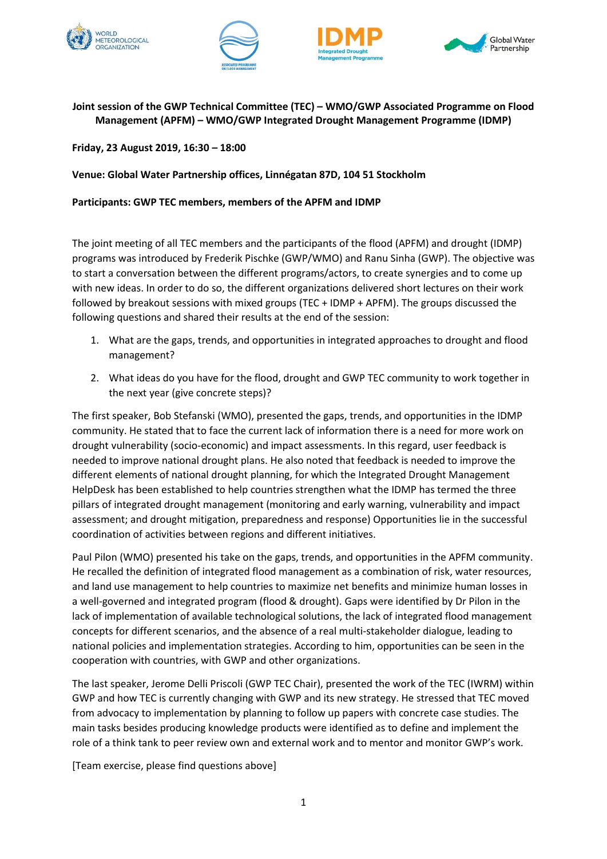







**Joint session of the GWP Technical Committee (TEC) – WMO/GWP Associated Programme on Flood Management (APFM) – WMO/GWP Integrated Drought Management Programme (IDMP)**

**Friday, 23 August 2019, 16:30 – 18:00**

**Venue: Global Water Partnership offices, Linnégatan 87D, 104 51 Stockholm**

## **Participants: GWP TEC members, members of the APFM and IDMP**

The joint meeting of all TEC members and the participants of the flood (APFM) and drought (IDMP) programs was introduced by Frederik Pischke (GWP/WMO) and Ranu Sinha (GWP). The objective was to start a conversation between the different programs/actors, to create synergies and to come up with new ideas. In order to do so, the different organizations delivered short lectures on their work followed by breakout sessions with mixed groups (TEC + IDMP + APFM). The groups discussed the following questions and shared their results at the end of the session:

- 1. What are the gaps, trends, and opportunities in integrated approaches to drought and flood management?
- 2. What ideas do you have for the flood, drought and GWP TEC community to work together in the next year (give concrete steps)?

The first speaker, Bob Stefanski (WMO), presented the gaps, trends, and opportunities in the IDMP community. He stated that to face the current lack of information there is a need for more work on drought vulnerability (socio-economic) and impact assessments. In this regard, user feedback is needed to improve national drought plans. He also noted that feedback is needed to improve the different elements of national drought planning, for which the Integrated Drought Management HelpDesk has been established to help countries strengthen what the IDMP has termed the three pillars of integrated drought management (monitoring and early warning, vulnerability and impact assessment; and drought mitigation, preparedness and response) Opportunities lie in the successful coordination of activities between regions and different initiatives.

Paul Pilon (WMO) presented his take on the gaps, trends, and opportunities in the APFM community. He recalled the definition of integrated flood management as a combination of risk, water resources, and land use management to help countries to maximize net benefits and minimize human losses in a well-governed and integrated program (flood & drought). Gaps were identified by Dr Pilon in the lack of implementation of available technological solutions, the lack of integrated flood management concepts for different scenarios, and the absence of a real multi-stakeholder dialogue, leading to national policies and implementation strategies. According to him, opportunities can be seen in the cooperation with countries, with GWP and other organizations.

The last speaker, Jerome Delli Priscoli (GWP TEC Chair), presented the work of the TEC (IWRM) within GWP and how TEC is currently changing with GWP and its new strategy. He stressed that TEC moved from advocacy to implementation by planning to follow up papers with concrete case studies. The main tasks besides producing knowledge products were identified as to define and implement the role of a think tank to peer review own and external work and to mentor and monitor GWP's work.

[Team exercise, please find questions above]